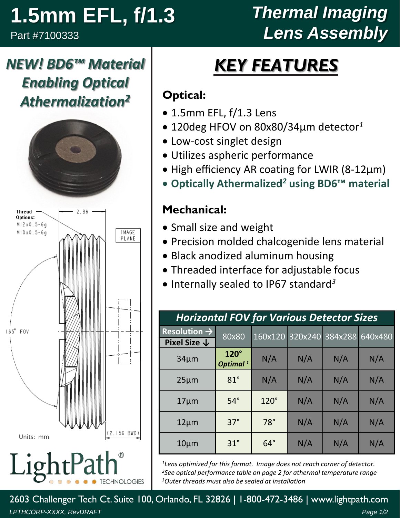# **1.5mm EFL, f/1.3**

*NEW! BD6™ Material* 

*Enabling Optical* 

*Athermalization2*

Part #7100333

## *Thermal Imaging Lens Assembly*

# *KEY FEATURES*

#### **Optical:**

- 1.5mm EFL, f/1.3 Lens
- 120deg HFOV on 80x80/34µm detector*<sup>1</sup>*
- Low-cost singlet design
- Utilizes aspheric performance
- High efficiency AR coating for LWIR (8-12µm)
- **Optically Athermalized***<sup>2</sup>* **using BD6™ material**

#### **Mechanical:**

- Small size and weight
- Precision molded chalcogenide lens material
- Black anodized aluminum housing
- Threaded interface for adjustable focus
- Internally sealed to IP67 standard *3*

| <b>Horizontal FOV for Various Detector Sizes</b> |                                     |             |     |                 |         |  |  |
|--------------------------------------------------|-------------------------------------|-------------|-----|-----------------|---------|--|--|
| Resolution $\rightarrow$                         | 80x80                               | 160x120     |     | 320x240 384x288 | 640x480 |  |  |
| Pixel Size $\downarrow$                          |                                     |             |     |                 |         |  |  |
| $34 \mu m$                                       | $120^\circ$<br>Optimal <sup>1</sup> | N/A         | N/A | N/A             | N/A     |  |  |
| $25 \mu m$                                       | $81^\circ$                          | N/A         | N/A | N/A             | N/A     |  |  |
| $17 \mu m$                                       | $54^\circ$                          | $120^\circ$ | N/A | N/A             | N/A     |  |  |
| $12 \mu m$                                       | $37^\circ$                          | $78^\circ$  | N/A | N/A             | N/A     |  |  |
| $10 \mu m$                                       | $31^\circ$                          | $64^\circ$  | N/A | N/A             | N/A     |  |  |

*<sup>1</sup>Lens optimized for this format. Image does not reach corner of detector. <sup>2</sup>See optical performance table on page 2 for athermal temperature range <sup>3</sup>Outer threads must also be sealed at installation*

*LPTHCORP-XXXX, RevDRAFT Page 1/2* 2603 Challenger Tech Ct. Suite 100, Orlando, FL 32826 | 1-800-472-3486 | www.lightpath.com



Ligh **TECHNOLOGIES**